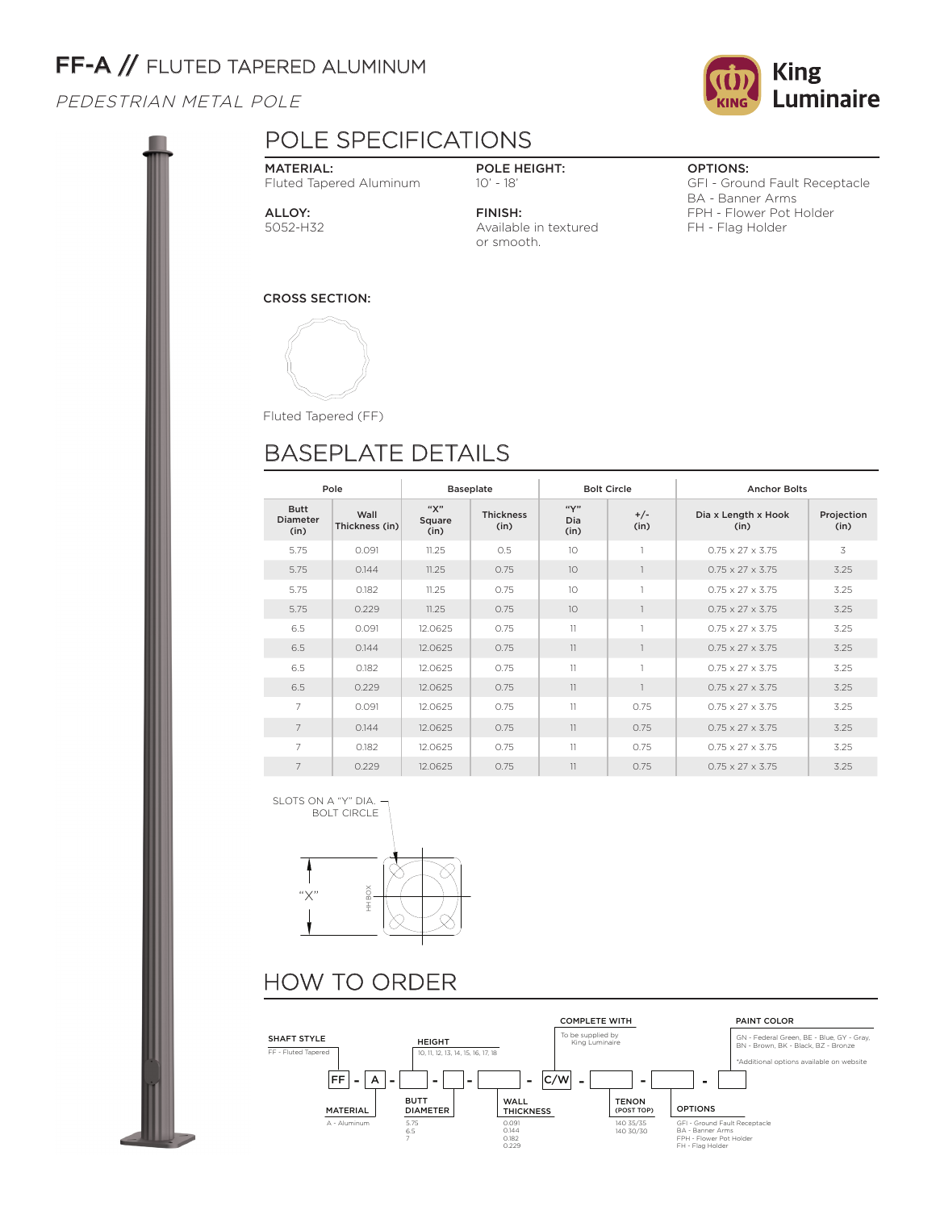# FF-A // FLUTED TAPERED ALUMINUM

PEDESTRIAN METAL POLE

## POLE SPECIFICATIONS

MATERIAL: Fluted Tapered Aluminum

POLE HEIGHT: 10' - 18'

FINISH:

or smooth.

Available in textured

OPTIONS:

GFI - Ground Fault Receptacle BA - Banner Arms FPH - Flower Pot Holder FH - Flag Holder

ALLOY: 5052-H32

CROSS SECTION:



Fluted Tapered (FF)

# BASEPLATE DETAILS

| Pole                            |                        |                       | <b>Baseplate</b>         |                     | <b>Bolt Circle</b> | <b>Anchor Bolts</b>          |                    |  |  |
|---------------------------------|------------------------|-----------------------|--------------------------|---------------------|--------------------|------------------------------|--------------------|--|--|
| <b>Butt</b><br>Diameter<br>(in) | Wall<br>Thickness (in) | "Х"<br>Square<br>(in) | <b>Thickness</b><br>(in) | ``Y"<br>Dia<br>(in) | $+/-$<br>(in)      | Dia x Length x Hook<br>(in)  | Projection<br>(in) |  |  |
| 5.75                            | 0.091                  | 11.25                 | 0.5                      | 10                  | $\mathbf{1}$       | $0.75 \times 27 \times 3.75$ | 3                  |  |  |
| 5.75                            | 0.144                  | 11.25                 | 0.75                     | 10 <sup>2</sup>     |                    | $0.75 \times 27 \times 3.75$ | 3.25               |  |  |
| 5.75                            | 0.182                  | 11.25                 | 0.75                     | 10 <sup>1</sup>     |                    | $0.75 \times 27 \times 3.75$ | 3.25               |  |  |
| 5.75                            | 0.229                  | 11.25                 | 0.75                     | 10 <sup>2</sup>     |                    | $0.75 \times 27 \times 3.75$ | 3.25               |  |  |
| 6.5                             | 0.091                  | 12.0625               | 0.75                     | 11                  |                    | $0.75 \times 27 \times 3.75$ | 3.25               |  |  |
| 6.5                             | 0.144                  | 12.0625               | 0.75                     | 11                  |                    | $0.75 \times 27 \times 3.75$ | 3.25               |  |  |
| 6.5                             | 0.182                  | 12.0625               | 0.75                     | 11                  |                    | $0.75 \times 27 \times 3.75$ | 3.25               |  |  |
| 6.5                             | 0.229                  | 12.0625               | 0.75                     | 11                  |                    | $0.75 \times 27 \times 3.75$ | 3.25               |  |  |
| $\overline{7}$                  | 0.091                  | 12.0625               | 0.75                     | 11                  | 0.75               | $0.75 \times 27 \times 3.75$ | 3.25               |  |  |
| $\overline{7}$                  | 0.144                  | 12.0625               | 0.75                     | 11                  | 0.75               | $0.75 \times 27 \times 3.75$ | 3.25               |  |  |
| 7                               | 0.182                  | 12.0625               | 0.75                     | 11                  | 0.75               | $0.75 \times 27 \times 3.75$ | 3.25               |  |  |
| $\overline{7}$                  | 0.229                  | 12.0625               | 0.75                     | 11                  | 0.75               | $0.75 \times 27 \times 3.75$ | 3.25               |  |  |

SLOTS ON A "Y" DIA.



# HOW TO ORDER



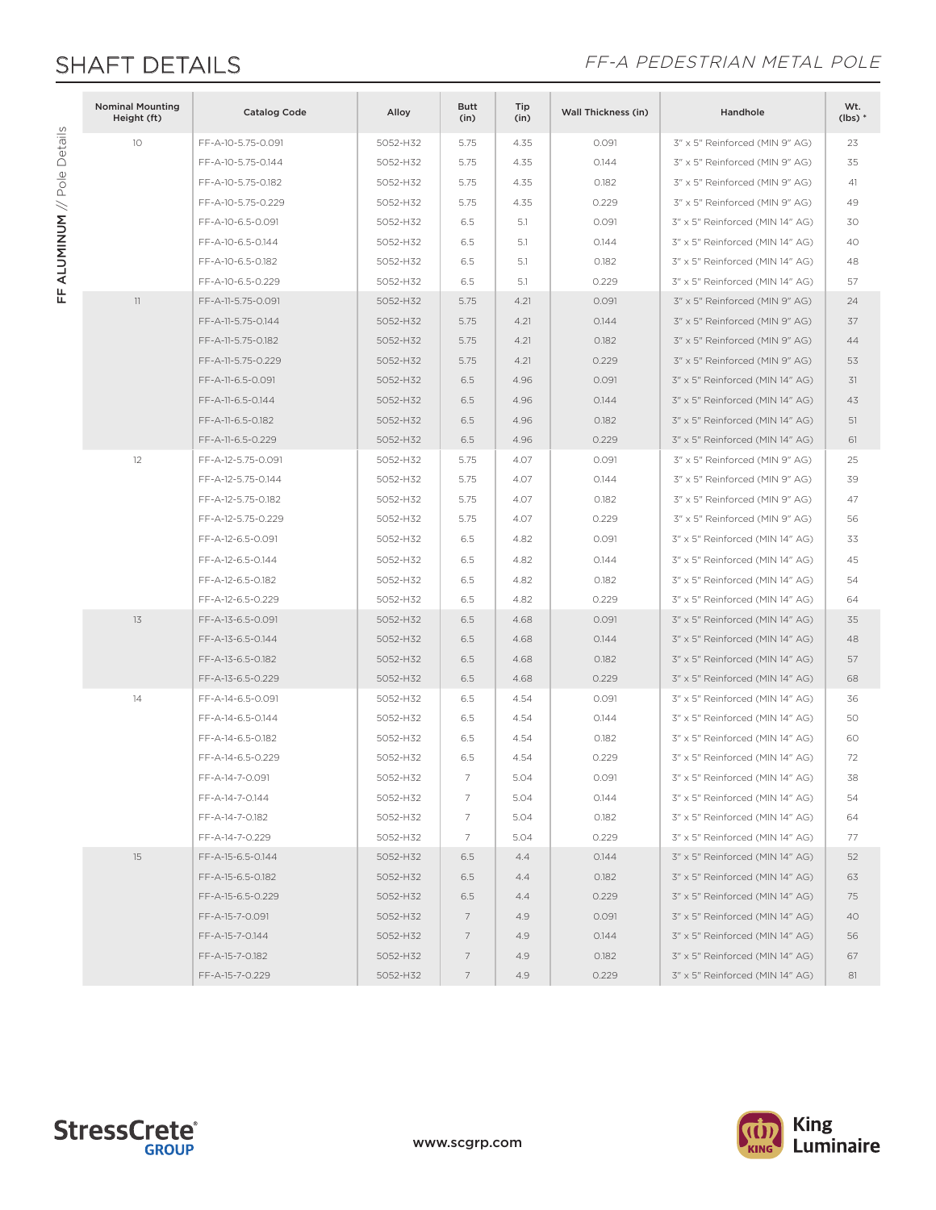FF ALUMINUM // Pole Details

FF ALUMINUM // Pole Details

## SHAFT DETAILS<br>
FF-A PEDESTRIAN METAL POLE

| <b>Nominal Mounting</b><br>Height (ft) | <b>Catalog Code</b> | Alloy    | Butt<br>(in) | Tip<br>(in) | Wall Thickness (in) | Handhole                        | Wt.<br>$(lbs)*$ |
|----------------------------------------|---------------------|----------|--------------|-------------|---------------------|---------------------------------|-----------------|
| 10                                     | FF-A-10-5.75-0.091  | 5052-H32 | 5.75         | 4.35        | 0.091               | 3" x 5" Reinforced (MIN 9" AG)  | 23              |
|                                        | FF-A-10-5.75-0.144  | 5052-H32 | 5.75         | 4.35        | 0.144               | 3" x 5" Reinforced (MIN 9" AG)  | 35              |
|                                        | FF-A-10-5.75-0.182  | 5052-H32 | 5.75         | 4.35        | 0.182               | 3" x 5" Reinforced (MIN 9" AG)  | 41              |
|                                        | FF-A-10-5.75-0.229  | 5052-H32 | 5.75         | 4.35        | 0.229               | 3" x 5" Reinforced (MIN 9" AG)  | 49              |
|                                        | FF-A-10-6.5-0.091   | 5052-H32 | 6.5          | 5.1         | 0.091               | 3" x 5" Reinforced (MIN 14" AG) | 30              |
|                                        | FF-A-10-6.5-0.144   | 5052-H32 | 6.5          | 5.1         | 0.144               | 3" x 5" Reinforced (MIN 14" AG) | 40              |
|                                        | FF-A-10-6.5-0.182   | 5052-H32 | 6.5          | 5.1         | 0.182               | 3" x 5" Reinforced (MIN 14" AG) | 48              |
|                                        | FF-A-10-6.5-0.229   | 5052-H32 | 6.5          | 5.1         | 0.229               | 3" x 5" Reinforced (MIN 14" AG) | 57              |
| 11                                     | FF-A-11-5.75-0.091  | 5052-H32 | 5.75         | 4.21        | 0.091               | 3" x 5" Reinforced (MIN 9" AG)  | 24              |
|                                        | FF-A-11-5.75-0.144  | 5052-H32 | 5.75         | 4.21        | 0.144               | 3" x 5" Reinforced (MIN 9" AG)  | 37              |
|                                        | FF-A-11-5.75-0.182  | 5052-H32 | 5.75         | 4.21        | 0.182               | 3" x 5" Reinforced (MIN 9" AG)  | 44              |
|                                        | FF-A-11-5.75-0.229  | 5052-H32 | 5.75         | 4.21        | 0.229               | 3" x 5" Reinforced (MIN 9" AG)  | 53              |
|                                        | FF-A-11-6.5-0.091   | 5052-H32 | 6.5          | 4.96        | 0.091               | 3" x 5" Reinforced (MIN 14" AG) | 31              |
|                                        | FF-A-11-6.5-0.144   | 5052-H32 | 6.5          | 4.96        | 0.144               | 3" x 5" Reinforced (MIN 14" AG) | 43              |
|                                        | FF-A-11-6.5-0.182   | 5052-H32 | 6.5          | 4.96        | 0.182               | 3" x 5" Reinforced (MIN 14" AG) | 51              |
|                                        | FF-A-11-6.5-0.229   | 5052-H32 | 6.5          | 4.96        | 0.229               | 3" x 5" Reinforced (MIN 14" AG) | 61              |
| 12                                     | FF-A-12-5.75-0.091  | 5052-H32 | 5.75         | 4.07        | 0.091               | 3" x 5" Reinforced (MIN 9" AG)  | 25              |
|                                        | FF-A-12-5.75-0.144  | 5052-H32 | 5.75         | 4.07        | 0.144               | 3" x 5" Reinforced (MIN 9" AG)  | 39              |
|                                        | FF-A-12-5.75-0.182  | 5052-H32 | 5.75         | 4.07        | 0.182               | 3" x 5" Reinforced (MIN 9" AG)  | 47              |
|                                        | FF-A-12-5.75-0.229  | 5052-H32 | 5.75         | 4.07        | 0.229               | 3" x 5" Reinforced (MIN 9" AG)  | 56              |
|                                        | FF-A-12-6.5-0.091   | 5052-H32 | 6.5          | 4.82        | 0.091               | 3" x 5" Reinforced (MIN 14" AG) | 33              |
|                                        | FF-A-12-6.5-0.144   | 5052-H32 | 6.5          | 4.82        | 0.144               | 3" x 5" Reinforced (MIN 14" AG) | 45              |
|                                        | FF-A-12-6.5-0.182   | 5052-H32 | 6.5          | 4.82        | 0.182               | 3" x 5" Reinforced (MIN 14" AG) | 54              |
|                                        | FF-A-12-6.5-0.229   | 5052-H32 | 6.5          | 4.82        | 0.229               | 3" x 5" Reinforced (MIN 14" AG) | 64              |
| 13                                     | FF-A-13-6.5-0.091   | 5052-H32 | 6.5          | 4.68        | 0.091               | 3" x 5" Reinforced (MIN 14" AG) | 35              |
|                                        | FF-A-13-6.5-0.144   | 5052-H32 | 6.5          | 4.68        | 0.144               | 3" x 5" Reinforced (MIN 14" AG) | 48              |
|                                        | FF-A-13-6.5-0.182   | 5052-H32 | 6.5          | 4.68        | 0.182               | 3" x 5" Reinforced (MIN 14" AG) | 57              |
|                                        | FF-A-13-6.5-0.229   | 5052-H32 | 6.5          | 4.68        | 0.229               | 3" x 5" Reinforced (MIN 14" AG) | 68              |
| 14                                     | FF-A-14-6.5-0.091   | 5052-H32 | 6.5          | 4.54        | 0.091               | 3" x 5" Reinforced (MIN 14" AG) | 36              |
|                                        | FF-A-14-6.5-0.144   | 5052-H32 | 6.5          | 4.54        | 0.144               | 3" x 5" Reinforced (MIN 14" AG) | 50              |
|                                        | FF-A-14-6.5-0.182   | 5052-H32 | 6.5          | 4.54        | 0.182               | 3" x 5" Reinforced (MIN 14" AG) | 60              |
|                                        | FF-A-14-6.5-0.229   | 5052-H32 | 6.5          | 4.54        | 0.229               | 3" x 5" Reinforced (MIN 14" AG) | 72              |
|                                        | FF-A-14-7-0.091     | 5052-H32 | 7            | 5.04        | 0.091               | 3" x 5" Reinforced (MIN 14" AG) | 38              |
|                                        | FF-A-14-7-0.144     | 5052-H32 | 7            | 5.04        | 0.144               | 3" x 5" Reinforced (MIN 14" AG) | 54              |
|                                        | FF-A-14-7-0.182     | 5052-H32 | 7            | 5.04        | 0.182               | 3" x 5" Reinforced (MIN 14" AG) | 64              |
|                                        | FF-A-14-7-0.229     | 5052-H32 | 7            | 5.04        | 0.229               | 3" x 5" Reinforced (MIN 14" AG) | 77              |
| 15                                     | FF-A-15-6.5-0.144   | 5052-H32 | 6.5          | 4.4         | 0.144               | 3" x 5" Reinforced (MIN 14" AG) | 52              |
|                                        | FF-A-15-6.5-0.182   | 5052-H32 | 6.5          | 4.4         | 0.182               | 3" x 5" Reinforced (MIN 14" AG) | 63              |
|                                        | FF-A-15-6.5-0.229   | 5052-H32 | 6.5          | 4.4         | 0.229               | 3" x 5" Reinforced (MIN 14" AG) | 75              |
|                                        | FF-A-15-7-0.091     | 5052-H32 | 7            | 4.9         | 0.091               | 3" x 5" Reinforced (MIN 14" AG) | 40              |
|                                        | FF-A-15-7-0.144     | 5052-H32 | 7            | 4.9         | 0.144               | 3" x 5" Reinforced (MIN 14" AG) | 56              |
|                                        | FF-A-15-7-0.182     | 5052-H32 | 7            | 4.9         | 0.182               | 3" x 5" Reinforced (MIN 14" AG) | 67              |
|                                        | FF-A-15-7-0.229     | 5052-H32 | 7            | 4.9         | 0.229               | 3" x 5" Reinforced (MIN 14" AG) | 81              |



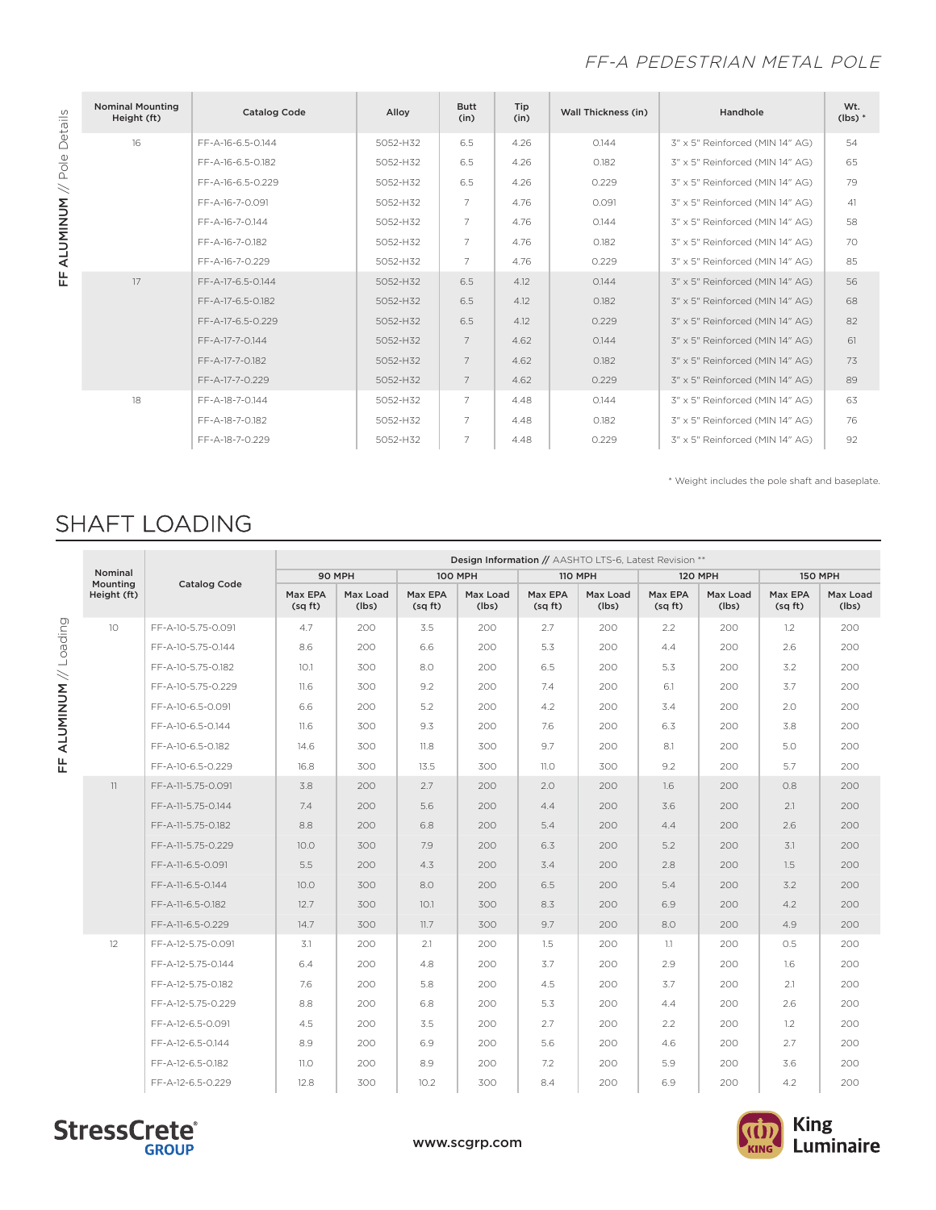### FF-A PEDESTRIAN METAL POLE

| Details  | <b>Nominal Mounting</b><br>Height (ft) | <b>Catalog Code</b> | Alloy    | <b>Butt</b><br>(in) | Tip<br>(in) | <b>Wall Thickness (in)</b> | Handhole                        | Wt.<br>$(lbs)$ * |
|----------|----------------------------------------|---------------------|----------|---------------------|-------------|----------------------------|---------------------------------|------------------|
| Pole     | 16                                     | FF-A-16-6.5-0.144   | 5052-H32 | 6.5                 | 4.26        | 0.144                      | 3" x 5" Reinforced (MIN 14" AG) | 54               |
|          |                                        | FF-A-16-6.5-0.182   | 5052-H32 | 6.5                 | 4.26        | 0.182                      | 3" x 5" Reinforced (MIN 14" AG) | 65               |
| $\,$     |                                        | FF-A-16-6.5-0.229   | 5052-H32 | 6.5                 | 4.26        | 0.229                      | 3" x 5" Reinforced (MIN 14" AG) | 79               |
|          |                                        | FF-A-16-7-0.091     | 5052-H32 | 7                   | 4.76        | 0.091                      | 3" x 5" Reinforced (MIN 14" AG) | 41               |
| ALUMINUM |                                        | FF-A-16-7-0.144     | 5052-H32 | $\overline{7}$      | 4.76        | 0.144                      | 3" x 5" Reinforced (MIN 14" AG) | 58               |
|          |                                        | FF-A-16-7-0.182     | 5052-H32 | $\overline{7}$      | 4.76        | 0.182                      | 3" x 5" Reinforced (MIN 14" AG) | 70               |
| 뚠        |                                        | FF-A-16-7-0.229     | 5052-H32 | $\overline{7}$      | 4.76        | 0.229                      | 3" x 5" Reinforced (MIN 14" AG) | 85               |
|          | 17                                     | FF-A-17-6.5-0.144   | 5052-H32 | 6.5                 | 4.12        | 0.144                      | 3" x 5" Reinforced (MIN 14" AG) | 56               |
|          |                                        | FF-A-17-6.5-0.182   | 5052-H32 | 6.5                 | 4.12        | 0.182                      | 3" x 5" Reinforced (MIN 14" AG) | 68               |
|          |                                        | FF-A-17-6.5-0.229   | 5052-H32 | 6.5                 | 4.12        | 0.229                      | 3" x 5" Reinforced (MIN 14" AG) | 82               |
|          |                                        | FF-A-17-7-0.144     | 5052-H32 | $\overline{7}$      | 4.62        | 0.144                      | 3" x 5" Reinforced (MIN 14" AG) | 61               |
|          |                                        | FF-A-17-7-0.182     | 5052-H32 | $\overline{7}$      | 4.62        | 0.182                      | 3" x 5" Reinforced (MIN 14" AG) | 73               |
|          |                                        | FF-A-17-7-0.229     | 5052-H32 | $\overline{7}$      | 4.62        | 0.229                      | 3" x 5" Reinforced (MIN 14" AG) | 89               |
|          | 18                                     | FF-A-18-7-0.144     | 5052-H32 | 7                   | 4.48        | 0.144                      | 3" x 5" Reinforced (MIN 14" AG) | 63               |
|          |                                        | FF-A-18-7-0.182     | 5052-H32 | $\overline{7}$      | 4.48        | 0.182                      | 3" x 5" Reinforced (MIN 14" AG) | 76               |
|          |                                        | FF-A-18-7-0.229     | 5052-H32 | $\overline{7}$      | 4.48        | 0.229                      | 3" x 5" Reinforced (MIN 14" AG) | 92               |

\* Weight includes the pole shaft and baseplate.

# SHAFT LOADING

|                        |                     |                     | Design Information // AASHTO LTS-6, Latest Revision ** |                   |                   |                   |                    |                   |                   |                   |                   |                   |  |  |
|------------------------|---------------------|---------------------|--------------------------------------------------------|-------------------|-------------------|-------------------|--------------------|-------------------|-------------------|-------------------|-------------------|-------------------|--|--|
|                        | Nominal<br>Mounting | <b>Catalog Code</b> | 90 MPH                                                 |                   |                   | <b>100 MPH</b>    |                    | <b>110 MPH</b>    | <b>120 MPH</b>    |                   | <b>150 MPH</b>    |                   |  |  |
|                        | Height (ft)         |                     | Max EPA<br>(sq ft)                                     | Max Load<br>(lbs) | Max EPA<br>(sqft) | Max Load<br>(lbs) | Max EPA<br>(sq ft) | Max Load<br>(lbs) | Max EPA<br>(sqft) | Max Load<br>(lbs) | Max EPA<br>(sqft) | Max Load<br>(lbs) |  |  |
|                        | 10                  | FF-A-10-5.75-0.091  | 4.7                                                    | 200               | 3.5               | 200               | 2.7                | 200               | 2.2               | 200               | 1.2               | 200               |  |  |
|                        |                     | FF-A-10-5.75-0.144  | 8.6                                                    | 200               | 6.6               | 200               | 5.3                | 200               | 4.4               | 200               | 2.6               | 200               |  |  |
| FF ALUMINUM // Loading |                     | FF-A-10-5.75-0.182  | 10.1                                                   | 300               | 8.0               | 200               | 6.5                | 200               | 5.3               | 200               | 3.2               | 200               |  |  |
|                        |                     | FF-A-10-5.75-0.229  | 11.6                                                   | 300               | 9.2               | 200               | 7.4                | 200               | 6.1               | 200               | 3.7               | 200               |  |  |
|                        |                     | FF-A-10-6.5-0.091   | 6.6                                                    | 200               | 5.2               | 200               | 4.2                | 200               | 3.4               | 200               | 2.0               | 200               |  |  |
|                        |                     | FF-A-10-6.5-0.144   | 11.6                                                   | 300               | 9.3               | 200               | 7.6                | 200               | 6.3               | 200               | 3.8               | 200               |  |  |
|                        |                     | FF-A-10-6.5-0.182   | 14.6                                                   | 300               | 11.8              | 300               | 9.7                | 200               | 8.1               | 200               | 5.0               | 200               |  |  |
|                        |                     | FF-A-10-6.5-0.229   | 16.8                                                   | 300               | 13.5              | 300               | 11.0               | 300               | 9.2               | 200               | 5.7               | 200               |  |  |
|                        | 11                  | FF-A-11-5.75-0.091  | 3.8                                                    | 200               | 2.7               | 200               | 2.0                | 200               | 1.6               | 200               | O.8               | 200               |  |  |
|                        |                     | FF-A-11-5.75-0.144  | 7.4                                                    | 200               | 5.6               | 200               | 4.4                | 200               | 3.6               | 200               | 2.1               | 200               |  |  |
|                        |                     | FF-A-11-5.75-0.182  | 8.8                                                    | 200               | 6.8               | 200               | 5.4                | 200               | 4.4               | 200               | 2.6               | 200               |  |  |
|                        |                     | FF-A-11-5.75-0.229  | 10.0                                                   | 300               | 7.9               | 200               | 6.3                | 200               | 5.2               | 200               | 3.1               | 200               |  |  |
|                        |                     | FF-A-11-6.5-0.091   | 5.5                                                    | 200               | 4.3               | 200               | 3.4                | 200               | 2.8               | 200               | 1.5               | 200               |  |  |
|                        |                     | FF-A-11-6.5-0.144   | 10.0                                                   | 300               | 8.0               | 200               | 6.5                | 200               | 5.4               | 200               | 3.2               | 200               |  |  |
|                        |                     | FF-A-11-6.5-0.182   | 12.7                                                   | 300               | 10.1              | 300               | 8.3                | 200               | 6.9               | 200               | 4.2               | 200               |  |  |
|                        |                     | FF-A-11-6.5-0.229   | 14.7                                                   | 300               | 11.7              | 300               | 9.7                | 200               | 8.0               | 200               | 4.9               | 200               |  |  |
|                        | 12                  | FF-A-12-5.75-0.091  | 3.1                                                    | 200               | 2.1               | 200               | 1.5                | 200               | 1.1               | 200               | 0.5               | 200               |  |  |
|                        |                     | FF-A-12-5.75-0.144  | 6.4                                                    | 200               | 4.8               | 200               | 3.7                | 200               | 2.9               | 200               | 1.6               | 200               |  |  |
|                        |                     | FF-A-12-5.75-0.182  | 7.6                                                    | 200               | 5.8               | 200               | 4.5                | 200               | 3.7               | 200               | 2.1               | 200               |  |  |
|                        |                     | FF-A-12-5.75-0.229  | 8.8                                                    | 200               | 6.8               | 200               | 5.3                | 200               | 4.4               | 200               | 2.6               | 200               |  |  |
|                        |                     | FF-A-12-6.5-0.091   | 4.5                                                    | 200               | 3.5               | 200               | 2.7                | 200               | 2.2               | 200               | 1.2               | 200               |  |  |
|                        |                     | FF-A-12-6.5-0.144   | 8.9                                                    | 200               | 6.9               | 200               | 5.6                | 200               | 4.6               | 200               | 2.7               | 200               |  |  |
|                        |                     | FF-A-12-6.5-0.182   | 11.0                                                   | 200               | 8.9               | 200               | 7.2                | 200               | 5.9               | 200               | 3.6               | 200               |  |  |
|                        |                     | FF-A-12-6.5-0.229   | 12.8                                                   | 300               | 10.2              | 300               | 8.4                | 200               | 6.9               | 200               | 4.2               | 200               |  |  |



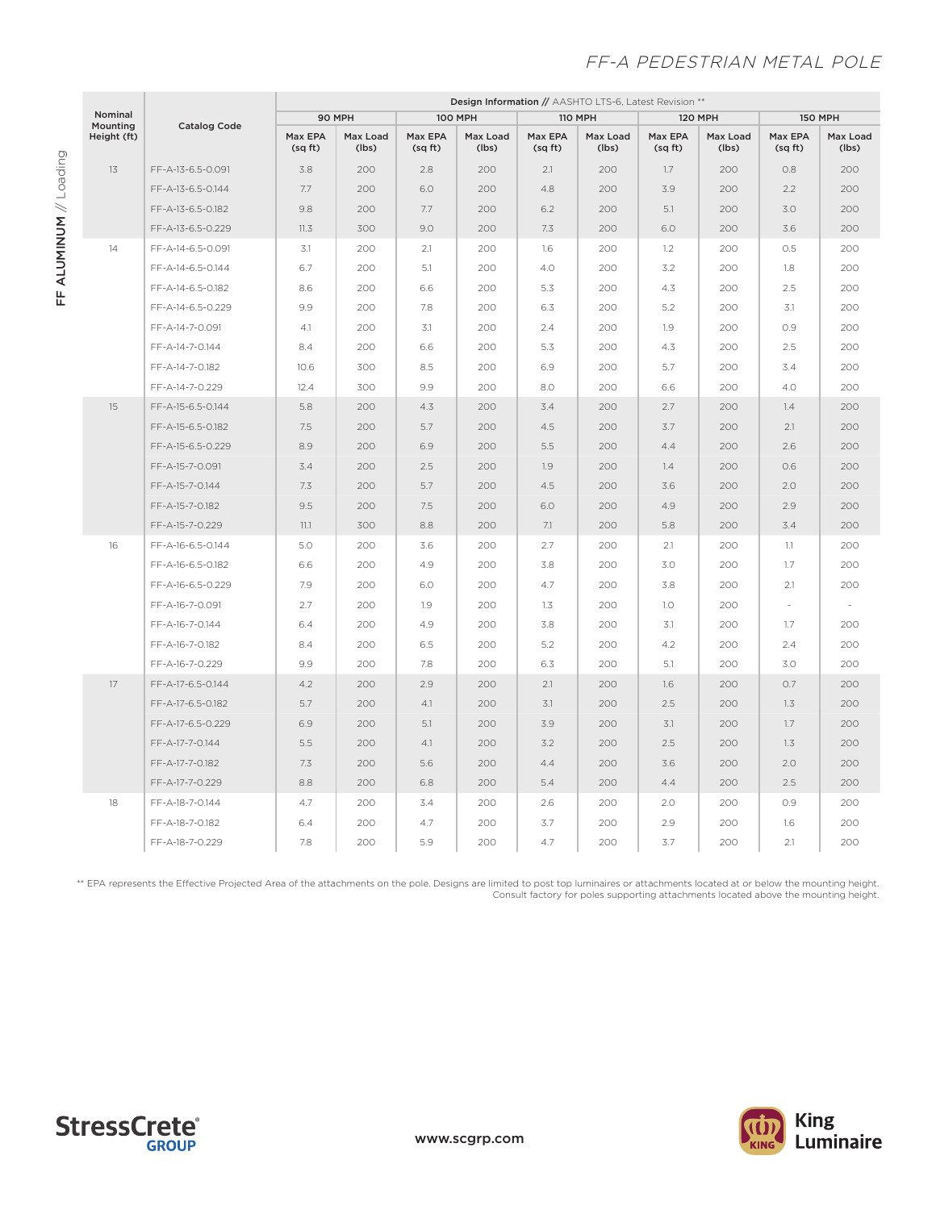### FF-A PEDESTRIAN METAL POLE

|                     |                     | <b>Design Information // AASHTO LTS-6, Latest Revision **</b> |                   |                    |                   |                   |                   |                   |                   |                   |                   |  |
|---------------------|---------------------|---------------------------------------------------------------|-------------------|--------------------|-------------------|-------------------|-------------------|-------------------|-------------------|-------------------|-------------------|--|
| Nominal<br>Mounting | <b>Catalog Code</b> | 90 MPH                                                        |                   | <b>100 MPH</b>     |                   | <b>110 MPH</b>    |                   | <b>120 MPH</b>    |                   | <b>150 MPH</b>    |                   |  |
| Height (ft)         |                     | Max EPA<br>(sqft)                                             | Max Load<br>(lbs) | Max EPA<br>(sq ft) | Max Load<br>(lbs) | Max EPA<br>(sqft) | Max Load<br>(lbs) | Max EPA<br>(sqft) | Max Load<br>(lbs) | Max EPA<br>(sqft) | Max Load<br>(lbs) |  |
| 13                  | FF-A-13-6.5-0.091   | 3.8                                                           | 200               | 2.8                | 200               | 2.1               | 200               | 1.7               | 200               | 0.8               | 200               |  |
|                     | FF-A-13-6.5-0.144   | 7.7                                                           | 200               | 6.0                | 200               | 4.8               | 200               | 3.9               | 200               | 2.2               | 200               |  |
|                     | FF-A-13-6.5-0.182   | 9.8                                                           | 200               | 7.7                | 200               | 6.2               | 200               | 5.1               | 200               | 3.0               | 200               |  |
|                     | FF-A-13-6.5-0.229   | 11.3                                                          | 300               | 9.0                | 200               | 7.3               | 200               | 6.0               | 200               | 3.6               | 200               |  |
| 14                  | FF-A-14-6.5-0.091   | 3.1                                                           | 200               | 2.1                | 200               | 1.6               | 200               | 1.2               | 200               | 0.5               | 200               |  |
|                     | FF-A-14-6.5-0.144   | 6.7                                                           | 200               | 5.1                | 200               | 4.0               | 200               | 3.2               | 200               | 1.8               | 200               |  |
|                     | FF-A-14-6.5-0.182   | 8.6                                                           | 200               | 6.6                | 200               | 5.3               | 200               | 4.3               | 200               | 2.5               | 200               |  |
|                     | FF-A-14-6.5-0.229   | 9.9                                                           | 200               | 7.8                | 200               | 6.3               | 200               | 5.2               | 200               | 3.1               | 200               |  |
|                     | FF-A-14-7-0.091     | 4.1                                                           | 200               | 3.1                | 200               | 2.4               | 200               | 1.9               | 200               | O.9               | 200               |  |
|                     | FF-A-14-7-0.144     | 8.4                                                           | 200               | 6.6                | 200               | 5.3               | 200               | 4.3               | 200               | 2.5               | 200               |  |
|                     | FF-A-14-7-0.182     | 10.6                                                          | 300               | 8.5                | 200               | 6.9               | 200               | 5.7               | 200               | 3.4               | 200               |  |
|                     | FF-A-14-7-0.229     | 12.4                                                          | 300               | 9.9                | 200               | 8.0               | 200               | 6.6               | 200               | 4.0               | 200               |  |
| 15                  | FF-A-15-6.5-0.144   | 5.8                                                           | 200               | 4.3                | 200               | 3.4               | 200               | 2.7               | 200               | 1.4               | 200               |  |
|                     | FF-A-15-6.5-0.182   | 7.5                                                           | 200               | 5.7                | 200               | 4.5               | 200               | 3.7               | 200               | 2.1               | 200               |  |
|                     | FF-A-15-6.5-0.229   | 8.9                                                           | 200               | 6.9                | 200               | 5.5               | 200               | 4.4               | 200               | 2.6               | 200               |  |
|                     | FF-A-15-7-0.091     | 3.4                                                           | 200               | 2.5                | 200               | 1.9               | 200               | 1.4               | 200               | 0.6               | 200               |  |
|                     | FF-A-15-7-0.144     | 7.3                                                           | 200               | 5.7                | 200               | 4.5               | 200               | 3.6               | 200               | 2.0               | 200               |  |
|                     | FF-A-15-7-0.182     | 9.5                                                           | 200               | 7.5                | 200               | 6.0               | 200               | 4.9               | 200               | 2.9               | 200               |  |
|                     | FF-A-15-7-0.229     | 11.1                                                          | 300               | 8.8                | 200               | 7.1               | 200               | 5.8               | 200               | 3.4               | 200               |  |
| 16                  | FF-A-16-6.5-0.144   | 5.0                                                           | 200               | 3.6                | 200               | 2.7               | 200               | 2.1               | 200               | 1.1               | 200               |  |
|                     | FF-A-16-6.5-0.182   | 6.6                                                           | 200               | 4.9                | 200               | 3.8               | 200               | 3.0               | 200               | 1.7               | 200               |  |
|                     | FF-A-16-6.5-0.229   | 7.9                                                           | 200               | 6.0                | 200               | 4.7               | 200               | 3.8               | 200               | 2.1               | 200               |  |
|                     | FF-A-16-7-0.091     | 2.7                                                           | 200               | 1.9                | 200               | 1.3               | 200               | 1.0               | 200               |                   | $\overline{a}$    |  |
|                     | FF-A-16-7-0.144     | 6.4                                                           | 200               | 4.9                | 200               | 3.8               | 200               | 3.1               | 200               | 1.7               | 200               |  |
|                     | FF-A-16-7-0.182     | 8.4                                                           | 200               | 6.5                | 200               | 5.2               | 200               | 4.2               | 200               | 2.4               | 200               |  |
|                     | FF-A-16-7-0.229     | 9.9                                                           | 200               | 7.8                | 200               | 6.3               | 200               | 5.1               | 200               | 3.0               | 200               |  |
| 17                  | FF-A-17-6.5-0.144   | 4.2                                                           | 200               | 2.9                | 200               | 2.1               | 200               | 1.6               | 200               | O.7               | 200               |  |
|                     | FF-A-17-6.5-0.182   | 5.7                                                           | 200               | 4.1                | 200               | 3.1               | 200               | 2.5               | 200               | 1.3               | 200               |  |
|                     | FF-A-17-6.5-0.229   | 6.9                                                           | 200               | 5.1                | 200               | 3.9               | 200               | 3.1               | 200               | 1.7               | 200               |  |
|                     | FF-A-17-7-0.144     | 5.5                                                           | 200               | 4.1                | 200               | 3.2               | 200               | 2.5               | 200               | 1.3               | 200               |  |
|                     | FF-A-17-7-0.182     | 7.3                                                           | 200               | 5.6                | 200               | 4.4               | 200               | 3.6               | 200               | 2.0               | 200               |  |
|                     | FF-A-17-7-0.229     | 8.8                                                           | 200               | 6.8                | 200               | 5.4               | 200               | 4.4               | 200               | 2.5               | 200               |  |
| 18                  | FF-A-18-7-0.144     | 4.7                                                           | 200               | 3.4                | 200               | 2.6               | 200               | 2.0               | 200               | 0.9               | 200               |  |
|                     | FF-A-18-7-0.182     | 6.4                                                           | 200               | 4.7                | 200               | 3.7               | 200               | 2.9               | 200               | 1.6               | 200               |  |
|                     | FF-A-18-7-0.229     | 7.8                                                           | 200               | 5.9                | 200               | 4.7               | 200               | 3.7               | 200               | 2.1               | 200               |  |

\*\* EPA represents the Effective Projected Area of the attachments on the pole. Designs are limited to post top luminaires or attachments located at or below the mounting height. Consult factory for poles supporting attachments located above the mounting height.